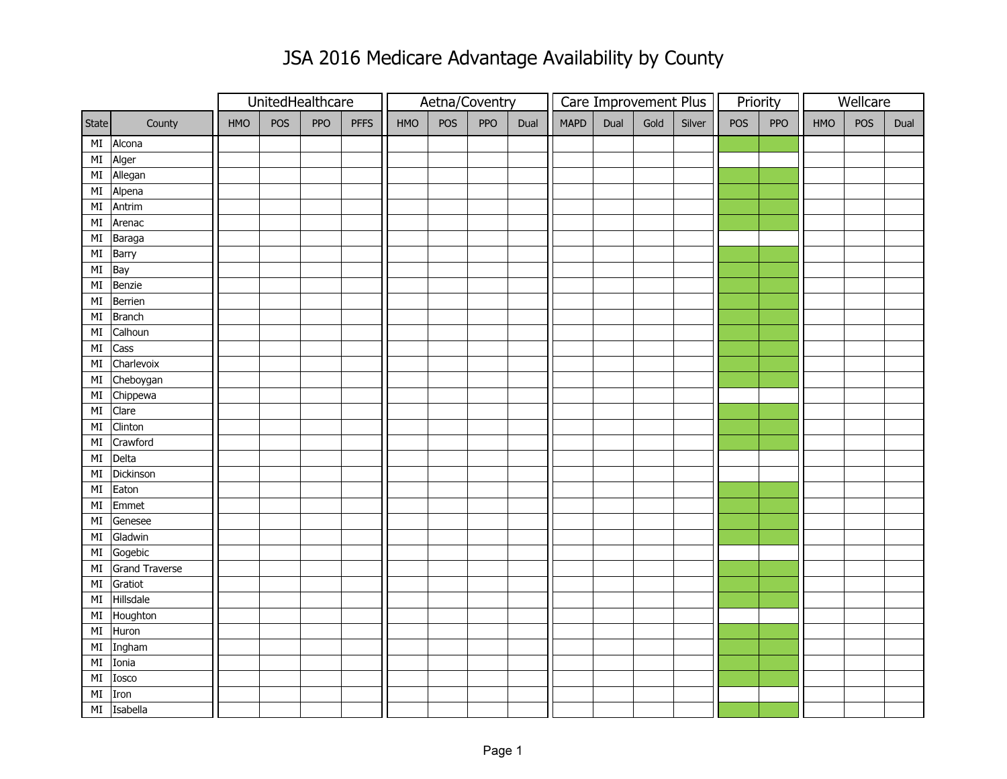## JSA 2016 Medicare Advantage Availability by County

|               |                |     | UnitedHealthcare |            |             | Aetna/Coventry |     |            |      |             |      | Care Improvement Plus |        | Priority |            | Wellcare |            |      |
|---------------|----------------|-----|------------------|------------|-------------|----------------|-----|------------|------|-------------|------|-----------------------|--------|----------|------------|----------|------------|------|
| State         | County         | HMO | POS              | <b>PPO</b> | <b>PFFS</b> | HMO            | POS | <b>PPO</b> | Dual | <b>MAPD</b> | Dual | Gold                  | Silver | POS      | <b>PPO</b> | HMO      | <b>POS</b> | Dual |
| MI            | Alcona         |     |                  |            |             |                |     |            |      |             |      |                       |        |          |            |          |            |      |
| $\mathsf{MI}$ | Alger          |     |                  |            |             |                |     |            |      |             |      |                       |        |          |            |          |            |      |
| $\mathsf{MI}$ | Allegan        |     |                  |            |             |                |     |            |      |             |      |                       |        |          |            |          |            |      |
| $\mathsf{MI}$ | Alpena         |     |                  |            |             |                |     |            |      |             |      |                       |        |          |            |          |            |      |
| $\mathsf{MI}$ | Antrim         |     |                  |            |             |                |     |            |      |             |      |                       |        |          |            |          |            |      |
| $\mathsf{MI}$ | Arenac         |     |                  |            |             |                |     |            |      |             |      |                       |        |          |            |          |            |      |
| $\mathsf{MI}$ | Baraga         |     |                  |            |             |                |     |            |      |             |      |                       |        |          |            |          |            |      |
| $\mathsf{MI}$ | Barry          |     |                  |            |             |                |     |            |      |             |      |                       |        |          |            |          |            |      |
| $\mathsf{MI}$ | Bay            |     |                  |            |             |                |     |            |      |             |      |                       |        |          |            |          |            |      |
| $\mathsf{MI}$ | Benzie         |     |                  |            |             |                |     |            |      |             |      |                       |        |          |            |          |            |      |
| $\mathsf{MI}$ | Berrien        |     |                  |            |             |                |     |            |      |             |      |                       |        |          |            |          |            |      |
| $\mathsf{MI}$ | <b>Branch</b>  |     |                  |            |             |                |     |            |      |             |      |                       |        |          |            |          |            |      |
| $\mathsf{MI}$ | Calhoun        |     |                  |            |             |                |     |            |      |             |      |                       |        |          |            |          |            |      |
| $\mathsf{MI}$ | Cass           |     |                  |            |             |                |     |            |      |             |      |                       |        |          |            |          |            |      |
| $\mathsf{MI}$ | Charlevoix     |     |                  |            |             |                |     |            |      |             |      |                       |        |          |            |          |            |      |
| $\mathsf{MI}$ | Cheboygan      |     |                  |            |             |                |     |            |      |             |      |                       |        |          |            |          |            |      |
| $\mathsf{MI}$ | Chippewa       |     |                  |            |             |                |     |            |      |             |      |                       |        |          |            |          |            |      |
| $\mathsf{MI}$ | Clare          |     |                  |            |             |                |     |            |      |             |      |                       |        |          |            |          |            |      |
| $\mathsf{MI}$ | Clinton        |     |                  |            |             |                |     |            |      |             |      |                       |        |          |            |          |            |      |
| $\mathsf{MI}$ | Crawford       |     |                  |            |             |                |     |            |      |             |      |                       |        |          |            |          |            |      |
| $\mathsf{MI}$ | Delta          |     |                  |            |             |                |     |            |      |             |      |                       |        |          |            |          |            |      |
| $\mathsf{MI}$ | Dickinson      |     |                  |            |             |                |     |            |      |             |      |                       |        |          |            |          |            |      |
| $\mathsf{MI}$ | Eaton          |     |                  |            |             |                |     |            |      |             |      |                       |        |          |            |          |            |      |
| $\mathsf{MI}$ | Emmet          |     |                  |            |             |                |     |            |      |             |      |                       |        |          |            |          |            |      |
| $\mathsf{MI}$ | Genesee        |     |                  |            |             |                |     |            |      |             |      |                       |        |          |            |          |            |      |
| $\mathsf{MI}$ | Gladwin        |     |                  |            |             |                |     |            |      |             |      |                       |        |          |            |          |            |      |
| $\mathsf{MI}$ | Gogebic        |     |                  |            |             |                |     |            |      |             |      |                       |        |          |            |          |            |      |
| MI            | Grand Traverse |     |                  |            |             |                |     |            |      |             |      |                       |        |          |            |          |            |      |
| $\mathsf{MI}$ | Gratiot        |     |                  |            |             |                |     |            |      |             |      |                       |        |          |            |          |            |      |
| $\mathsf{MI}$ | Hillsdale      |     |                  |            |             |                |     |            |      |             |      |                       |        |          |            |          |            |      |
| $\mathsf{MI}$ | Houghton       |     |                  |            |             |                |     |            |      |             |      |                       |        |          |            |          |            |      |
| $\mathsf{MI}$ | Huron          |     |                  |            |             |                |     |            |      |             |      |                       |        |          |            |          |            |      |
| $\mathsf{MI}$ | Ingham         |     |                  |            |             |                |     |            |      |             |      |                       |        |          |            |          |            |      |
| $\mathsf{MI}$ | Ionia          |     |                  |            |             |                |     |            |      |             |      |                       |        |          |            |          |            |      |
| $\mathsf{MI}$ | Iosco          |     |                  |            |             |                |     |            |      |             |      |                       |        |          |            |          |            |      |
| $\mathsf{MI}$ | Iron           |     |                  |            |             |                |     |            |      |             |      |                       |        |          |            |          |            |      |
| MI            | Isabella       |     |                  |            |             |                |     |            |      |             |      |                       |        |          |            |          |            |      |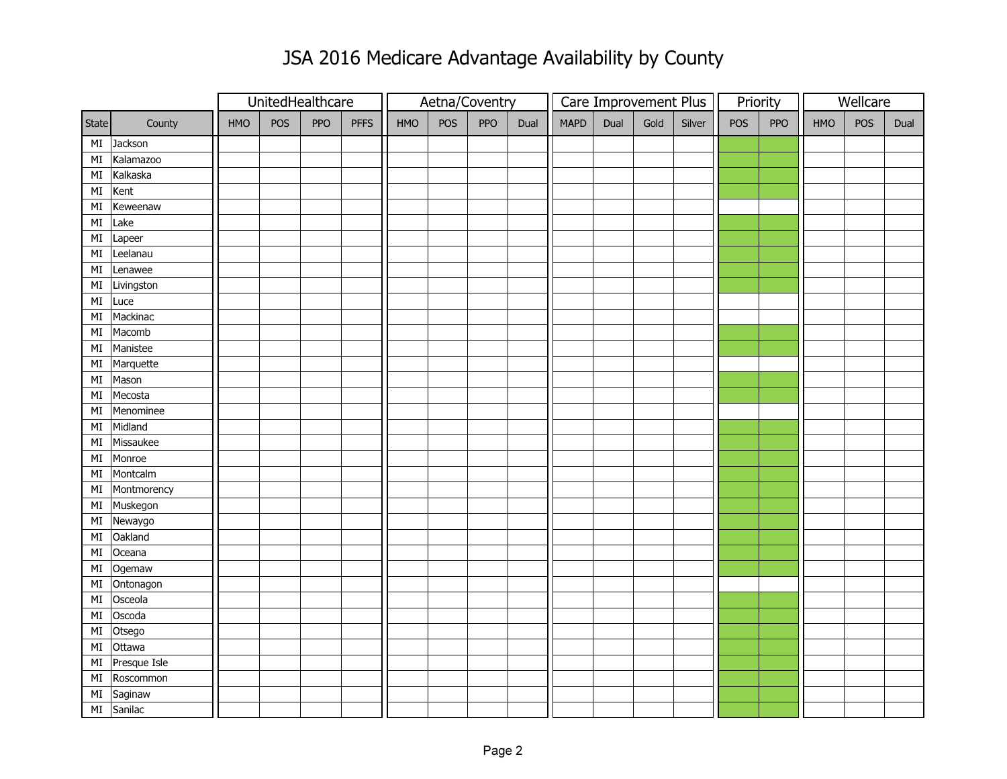## JSA 2016 Medicare Advantage Availability by County

|               |              |     | UnitedHealthcare |            |             | Aetna/Coventry |     |            |      |             |      | Care Improvement Plus |        | Priority |            | Wellcare |     |      |
|---------------|--------------|-----|------------------|------------|-------------|----------------|-----|------------|------|-------------|------|-----------------------|--------|----------|------------|----------|-----|------|
| State         | County       | HMO | POS              | <b>PPO</b> | <b>PFFS</b> | HMO            | POS | <b>PPO</b> | Dual | <b>MAPD</b> | Dual | Gold                  | Silver | POS      | <b>PPO</b> | HMO      | POS | Dual |
| MI            | Jackson      |     |                  |            |             |                |     |            |      |             |      |                       |        |          |            |          |     |      |
| $\mathsf{MI}$ | Kalamazoo    |     |                  |            |             |                |     |            |      |             |      |                       |        |          |            |          |     |      |
| $\mathsf{MI}$ | Kalkaska     |     |                  |            |             |                |     |            |      |             |      |                       |        |          |            |          |     |      |
| $\mathsf{MI}$ | Kent         |     |                  |            |             |                |     |            |      |             |      |                       |        |          |            |          |     |      |
| MI            | Keweenaw     |     |                  |            |             |                |     |            |      |             |      |                       |        |          |            |          |     |      |
| $\mathsf{MI}$ | Lake         |     |                  |            |             |                |     |            |      |             |      |                       |        |          |            |          |     |      |
| $\mathsf{MI}$ | Lapeer       |     |                  |            |             |                |     |            |      |             |      |                       |        |          |            |          |     |      |
| $\mathsf{MI}$ | Leelanau     |     |                  |            |             |                |     |            |      |             |      |                       |        |          |            |          |     |      |
| $\mathsf{MI}$ | Lenawee      |     |                  |            |             |                |     |            |      |             |      |                       |        |          |            |          |     |      |
| $\mathsf{MI}$ | Livingston   |     |                  |            |             |                |     |            |      |             |      |                       |        |          |            |          |     |      |
| $\mathsf{MI}$ | Luce         |     |                  |            |             |                |     |            |      |             |      |                       |        |          |            |          |     |      |
| MI            | Mackinac     |     |                  |            |             |                |     |            |      |             |      |                       |        |          |            |          |     |      |
| MI            | Macomb       |     |                  |            |             |                |     |            |      |             |      |                       |        |          |            |          |     |      |
| $\mathsf{MI}$ | Manistee     |     |                  |            |             |                |     |            |      |             |      |                       |        |          |            |          |     |      |
| $\mathsf{MI}$ | Marquette    |     |                  |            |             |                |     |            |      |             |      |                       |        |          |            |          |     |      |
| $\mathsf{MI}$ | Mason        |     |                  |            |             |                |     |            |      |             |      |                       |        |          |            |          |     |      |
| $\mathsf{MI}$ | Mecosta      |     |                  |            |             |                |     |            |      |             |      |                       |        |          |            |          |     |      |
| $\mathsf{MI}$ | Menominee    |     |                  |            |             |                |     |            |      |             |      |                       |        |          |            |          |     |      |
| $\mathsf{MI}$ | Midland      |     |                  |            |             |                |     |            |      |             |      |                       |        |          |            |          |     |      |
| MI            | Missaukee    |     |                  |            |             |                |     |            |      |             |      |                       |        |          |            |          |     |      |
| $\mathsf{MI}$ | Monroe       |     |                  |            |             |                |     |            |      |             |      |                       |        |          |            |          |     |      |
| $\mathsf{MI}$ | Montcalm     |     |                  |            |             |                |     |            |      |             |      |                       |        |          |            |          |     |      |
| $\mathsf{MI}$ | Montmorency  |     |                  |            |             |                |     |            |      |             |      |                       |        |          |            |          |     |      |
| $\mathsf{MI}$ | Muskegon     |     |                  |            |             |                |     |            |      |             |      |                       |        |          |            |          |     |      |
| $\mathsf{MI}$ | Newaygo      |     |                  |            |             |                |     |            |      |             |      |                       |        |          |            |          |     |      |
| $\mathsf{MI}$ | Oakland      |     |                  |            |             |                |     |            |      |             |      |                       |        |          |            |          |     |      |
| $\mathsf{MI}$ | Oceana       |     |                  |            |             |                |     |            |      |             |      |                       |        |          |            |          |     |      |
| $\mathsf{MI}$ | Ogemaw       |     |                  |            |             |                |     |            |      |             |      |                       |        |          |            |          |     |      |
| $\mathsf{MI}$ | Ontonagon    |     |                  |            |             |                |     |            |      |             |      |                       |        |          |            |          |     |      |
| MI            | Osceola      |     |                  |            |             |                |     |            |      |             |      |                       |        |          |            |          |     |      |
| $\mathsf{MI}$ | Oscoda       |     |                  |            |             |                |     |            |      |             |      |                       |        |          |            |          |     |      |
| MI            | Otsego       |     |                  |            |             |                |     |            |      |             |      |                       |        |          |            |          |     |      |
| $\mathsf{MI}$ | Ottawa       |     |                  |            |             |                |     |            |      |             |      |                       |        |          |            |          |     |      |
| $\mathsf{MI}$ | Presque Isle |     |                  |            |             |                |     |            |      |             |      |                       |        |          |            |          |     |      |
| $\mathsf{MI}$ | Roscommon    |     |                  |            |             |                |     |            |      |             |      |                       |        |          |            |          |     |      |
| $\mathsf{MI}$ | Saginaw      |     |                  |            |             |                |     |            |      |             |      |                       |        |          |            |          |     |      |
| MI            | Sanilac      |     |                  |            |             |                |     |            |      |             |      |                       |        |          |            |          |     |      |